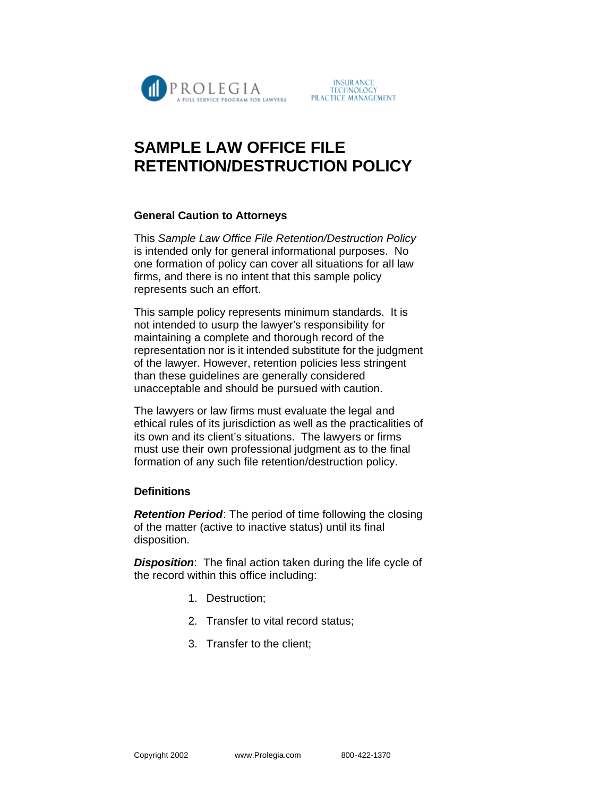

# **SAMPLE LAW OFFICE FILE RETENTION/DESTRUCTION POLICY**

## **General Caution to Attorneys**

This *Sample Law Office File Retention/Destruction Policy* is intended only for general informational purposes. No one formation of policy can cover all situations for all law firms, and there is no intent that this sample policy represents such an effort.

This sample policy represents minimum standards. It is not intended to usurp the lawyer's responsibility for maintaining a complete and thorough record of the representation nor is it intended substitute for the judgment of the lawyer. However, retention policies less stringent than these guidelines are generally considered unacceptable and should be pursued with caution.

The lawyers or law firms must evaluate the legal and ethical rules of its jurisdiction as well as the practicalities of its own and its client's situations. The lawyers or firms must use their own professional judgment as to the final formation of any such file retention/destruction policy.

## **Definitions**

*Retention Period*: The period of time following the closing of the matter (active to inactive status) until its final disposition.

*Disposition*: The final action taken during the life cycle of the record within this office including:

- 1. Destruction;
- 2. Transfer to vital record status;
- 3. Transfer to the client;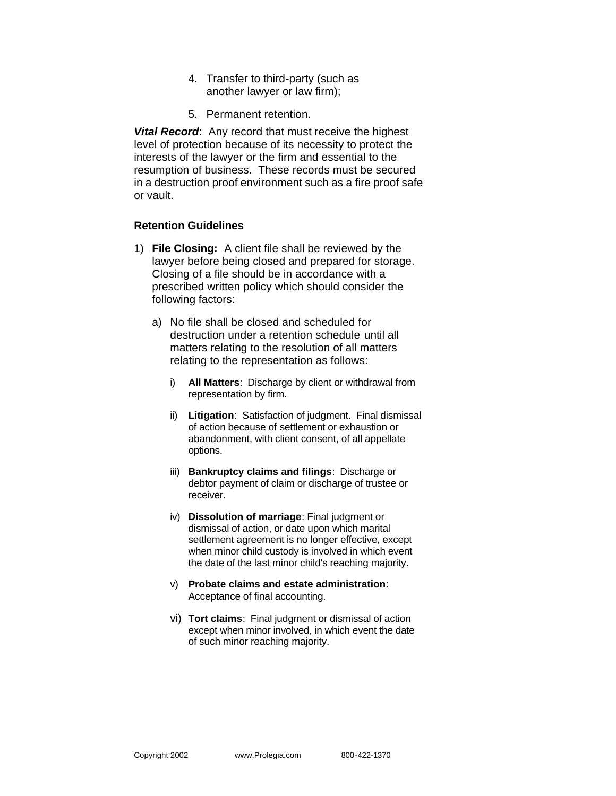- 4. Transfer to third-party (such as another lawyer or law firm);
- 5. Permanent retention.

*Vital Record*: Any record that must receive the highest level of protection because of its necessity to protect the interests of the lawyer or the firm and essential to the resumption of business. These records must be secured in a destruction proof environment such as a fire proof safe or vault.

### **Retention Guidelines**

- 1) **File Closing:** A client file shall be reviewed by the lawyer before being closed and prepared for storage. Closing of a file should be in accordance with a prescribed written policy which should consider the following factors:
	- a) No file shall be closed and scheduled for destruction under a retention schedule until all matters relating to the resolution of all matters relating to the representation as follows:
		- i) **All Matters**: Discharge by client or withdrawal from representation by firm.
		- ii) **Litigation**: Satisfaction of judgment. Final dismissal of action because of settlement or exhaustion or abandonment, with client consent, of all appellate options.
		- iii) **Bankruptcy claims and filings**: Discharge or debtor payment of claim or discharge of trustee or receiver.
		- iv) **Dissolution of marriage**: Final judgment or dismissal of action, or date upon which marital settlement agreement is no longer effective, except when minor child custody is involved in which event the date of the last minor child's reaching majority.
		- v) **Probate claims and estate administration**: Acceptance of final accounting.
		- vi) **Tort claims**: Final judgment or dismissal of action except when minor involved, in which event the date of such minor reaching majority.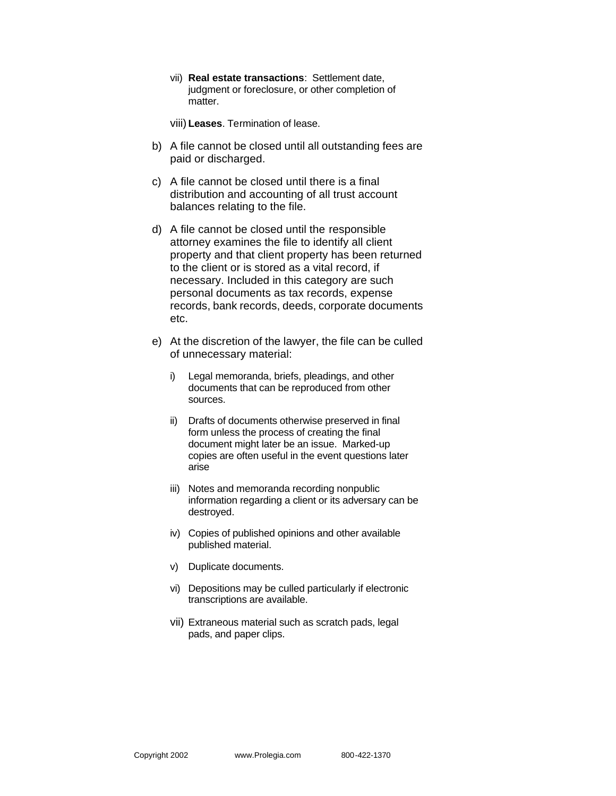vii) **Real estate transactions**: Settlement date, judgment or foreclosure, or other completion of matter.

viii) **Leases**. Termination of lease.

- b) A file cannot be closed until all outstanding fees are paid or discharged.
- c) A file cannot be closed until there is a final distribution and accounting of all trust account balances relating to the file.
- d) A file cannot be closed until the responsible attorney examines the file to identify all client property and that client property has been returned to the client or is stored as a vital record, if necessary. Included in this category are such personal documents as tax records, expense records, bank records, deeds, corporate documents etc.
- e) At the discretion of the lawyer, the file can be culled of unnecessary material:
	- i) Legal memoranda, briefs, pleadings, and other documents that can be reproduced from other sources.
	- ii) Drafts of documents otherwise preserved in final form unless the process of creating the final document might later be an issue. Marked-up copies are often useful in the event questions later arise
	- iii) Notes and memoranda recording nonpublic information regarding a client or its adversary can be destroyed.
	- iv) Copies of published opinions and other available published material.
	- v) Duplicate documents.
	- vi) Depositions may be culled particularly if electronic transcriptions are available.
	- vii) Extraneous material such as scratch pads, legal pads, and paper clips.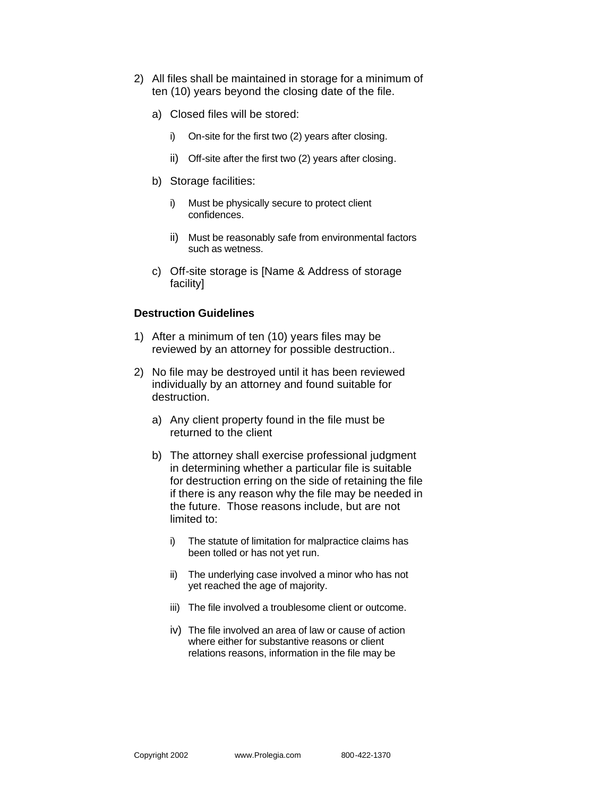- 2) All files shall be maintained in storage for a minimum of ten (10) years beyond the closing date of the file.
	- a) Closed files will be stored:
		- i) On-site for the first two (2) years after closing.
		- ii) Off-site after the first two (2) years after closing.
	- b) Storage facilities:
		- i) Must be physically secure to protect client confidences.
		- ii) Must be reasonably safe from environmental factors such as wetness.
	- c) Off-site storage is [Name & Address of storage facility]

### **Destruction Guidelines**

- 1) After a minimum of ten (10) years files may be reviewed by an attorney for possible destruction..
- 2) No file may be destroyed until it has been reviewed individually by an attorney and found suitable for destruction.
	- a) Any client property found in the file must be returned to the client
	- b) The attorney shall exercise professional judgment in determining whether a particular file is suitable for destruction erring on the side of retaining the file if there is any reason why the file may be needed in the future. Those reasons include, but are not limited to:
		- i) The statute of limitation for malpractice claims has been tolled or has not yet run.
		- ii) The underlying case involved a minor who has not yet reached the age of majority.
		- iii) The file involved a troublesome client or outcome.
		- iv) The file involved an area of law or cause of action where either for substantive reasons or client relations reasons, information in the file may be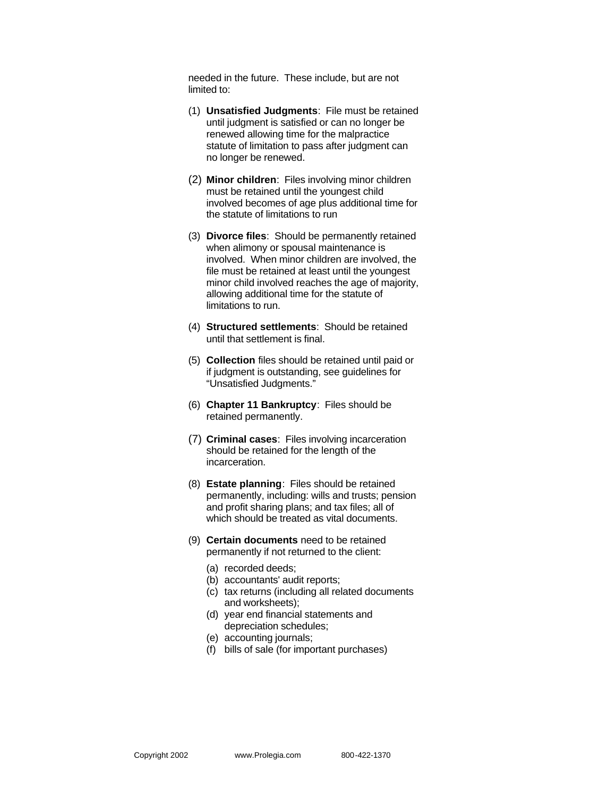needed in the future. These include, but are not limited to:

- (1) **Unsatisfied Judgments**: File must be retained until judgment is satisfied or can no longer be renewed allowing time for the malpractice statute of limitation to pass after judgment can no longer be renewed.
- (2) **Minor children**: Files involving minor children must be retained until the youngest child involved becomes of age plus additional time for the statute of limitations to run
- (3) **Divorce files**: Should be permanently retained when alimony or spousal maintenance is involved. When minor children are involved, the file must be retained at least until the youngest minor child involved reaches the age of majority, allowing additional time for the statute of limitations to run.
- (4) **Structured settlements**: Should be retained until that settlement is final.
- (5) **Collection** files should be retained until paid or if judgment is outstanding, see guidelines for "Unsatisfied Judgments."
- (6) **Chapter 11 Bankruptcy**: Files should be retained permanently.
- (7) **Criminal cases**: Files involving incarceration should be retained for the length of the incarceration.
- (8) **Estate planning**: Files should be retained permanently, including: wills and trusts; pension and profit sharing plans; and tax files; all of which should be treated as vital documents.
- (9) **Certain documents** need to be retained permanently if not returned to the client:
	- (a) recorded deeds;
	- (b) accountants' audit reports;
	- (c) tax returns (including all related documents and worksheets);
	- (d) year end financial statements and depreciation schedules;
	- (e) accounting journals;
	- (f) bills of sale (for important purchases)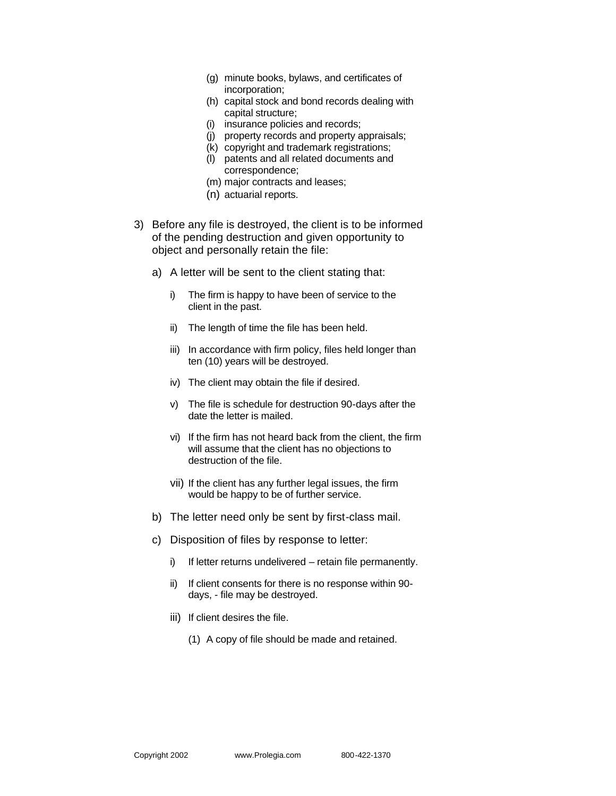- (g) minute books, bylaws, and certificates of incorporation;
- (h) capital stock and bond records dealing with capital structure;
- (i) insurance policies and records;
- (j) property records and property appraisals;
- (k) copyright and trademark registrations;
- (l) patents and all related documents and correspondence;
- (m) major contracts and leases;
- (n) actuarial reports.
- 3) Before any file is destroyed, the client is to be informed of the pending destruction and given opportunity to object and personally retain the file:
	- a) A letter will be sent to the client stating that:
		- i) The firm is happy to have been of service to the client in the past.
		- ii) The length of time the file has been held.
		- iii) In accordance with firm policy, files held longer than ten (10) years will be destroyed.
		- iv) The client may obtain the file if desired.
		- v) The file is schedule for destruction 90-days after the date the letter is mailed.
		- vi) If the firm has not heard back from the client, the firm will assume that the client has no objections to destruction of the file.
		- vii) If the client has any further legal issues, the firm would be happy to be of further service.
	- b) The letter need only be sent by first-class mail.
	- c) Disposition of files by response to letter:
		- i) If letter returns undelivered retain file permanently.
		- ii) If client consents for there is no response within 90 days, - file may be destroyed.
		- iii) If client desires the file.
			- (1) A copy of file should be made and retained.